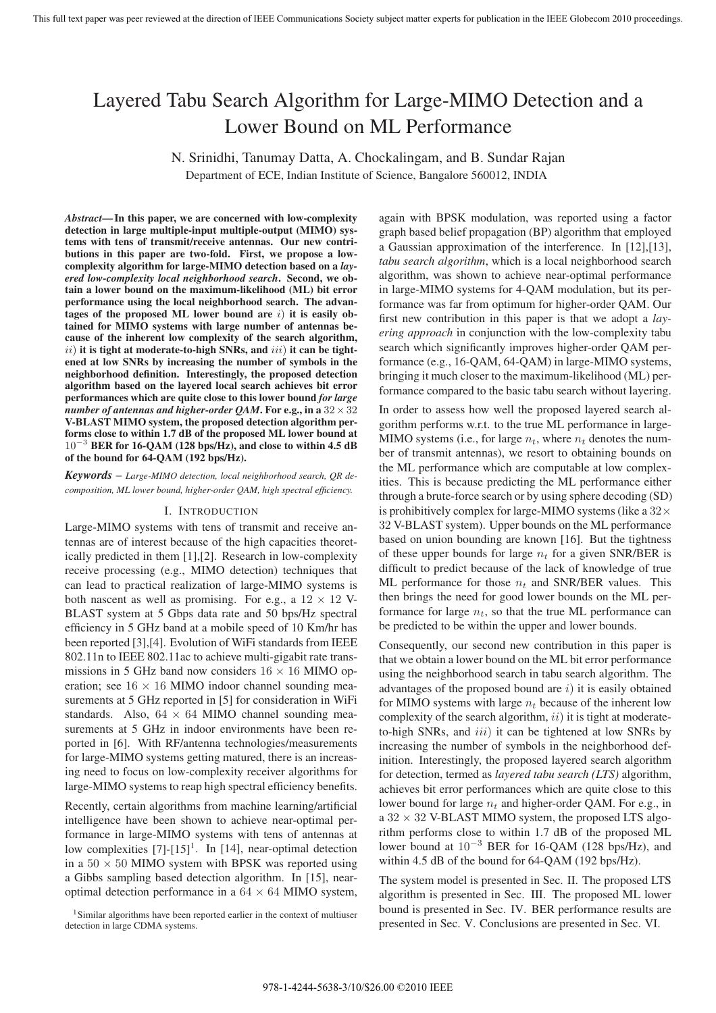# Layered Tabu Search Algorithm for Large-MIMO Detection and a Lower Bound on ML Performance

# N. Srinidhi, Tanumay Datta, A. Chockalingam, and B. Sundar Rajan

Department of ECE, Indian Institute of Science, Bangalore 560012, INDIA

*Abstract***— In this paper, we are concerned with low-complexity detection in large multiple-input multiple-output (MIMO) systems with tens of transmit/receive antennas. Our new contributions in this paper are two-fold. First, we propose a lowcomplexity algorithm for large-MIMO detection based on a** *layered low-complexity local neighborhood search***. Second, we obtain a lower bound on the maximum-likelihood (ML) bit error performance using the local neighborhood search. The advantages of the proposed ML lower bound are** *i*) **it is easily obtained for MIMO systems with large number of antennas because of the inherent low complexity of the search algorithm,** *ii*) **it is tight at moderate-to-high SNRs, and** *iii*) **it can be tightened at low SNRs by increasing the number of symbols in the neighborhood definition. Interestingly, the proposed detection algorithm based on the layered local search achieves bit error performances which are quite close to this lower bound** *for large number of antennas and higher-order QAM***. For e.g., in a** 32*×*32 **V-BLAST MIMO system, the proposed detection algorithm performs close to within 1.7 dB of the proposed ML lower bound at** 10*−*<sup>3</sup> **BER for 16-QAM (128 bps/Hz), and close to within 4.5 dB of the bound for 64-QAM (192 bps/Hz).**

*Keywords* – *Large-MIMO detection, local neighborhood search, QR decomposition, ML lower bound, higher-order QAM, high spectral efficiency.*

## I. INTRODUCTION

Large-MIMO systems with tens of transmit and receive antennas are of interest because of the high capacities theoretically predicted in them [1],[2]. Research in low-complexity receive processing (e.g., MIMO detection) techniques that can lead to practical realization of large-MIMO systems is both nascent as well as promising. For e.g., a  $12 \times 12$  V-BLAST system at 5 Gbps data rate and 50 bps/Hz spectral efficiency in 5 GHz band at a mobile speed of 10 Km/hr has been reported [3],[4]. Evolution of WiFi standards from IEEE 802.11n to IEEE 802.11ac to achieve multi-gigabit rate transmissions in 5 GHz band now considers  $16 \times 16$  MIMO operation; see  $16 \times 16$  MIMO indoor channel sounding measurements at 5 GHz reported in [5] for consideration in WiFi standards. Also,  $64 \times 64$  MIMO channel sounding measurements at 5 GHz in indoor environments have been reported in [6]. With RF/antenna technologies/measurements for large-MIMO systems getting matured, there is an increasing need to focus on low-complexity receiver algorithms for large-MIMO systems to reap high spectral efficiency benefits.

Recently, certain algorithms from machine learning/artificial intelligence have been shown to achieve near-optimal performance in large-MIMO systems with tens of antennas at low complexities  $[7]-[15]^1$ . In [14], near-optimal detection in a  $50 \times 50$  MIMO system with BPSK was reported using a Gibbs sampling based detection algorithm. In [15], nearoptimal detection performance in a  $64 \times 64$  MIMO system,

again with BPSK modulation, was reported using a factor graph based belief propagation (BP) algorithm that employed a Gaussian approximation of the interference. In [12],[13], *tabu search algorithm*, which is a local neighborhood search algorithm, was shown to achieve near-optimal performance in large-MIMO systems for 4-QAM modulation, but its performance was far from optimum for higher-order QAM. Our first new contribution in this paper is that we adopt a *layering approach* in conjunction with the low-complexity tabu search which significantly improves higher-order QAM performance (e.g., 16-QAM, 64-QAM) in large-MIMO systems, bringing it much closer to the maximum-likelihood (ML) performance compared to the basic tabu search without layering.

In order to assess how well the proposed layered search algorithm performs w.r.t. to the true ML performance in large-MIMO systems (i.e., for large  $n_t$ , where  $n_t$  denotes the number of transmit antennas), we resort to obtaining bounds on the ML performance which are computable at low complexities. This is because predicting the ML performance either through a brute-force search or by using sphere decoding (SD) is prohibitively complex for large-MIMO systems (like a  $32\times$ 32 V-BLAST system). Upper bounds on the ML performance based on union bounding are known [16]. But the tightness of these upper bounds for large n*<sup>t</sup>* for a given SNR/BER is difficult to predict because of the lack of knowledge of true ML performance for those  $n_t$  and SNR/BER values. This then brings the need for good lower bounds on the ML performance for large  $n_t$ , so that the true ML performance can be predicted to be within the upper and lower bounds.

Consequently, our second new contribution in this paper is that we obtain a lower bound on the ML bit error performance using the neighborhood search in tabu search algorithm. The advantages of the proposed bound are  $i$ ) it is easily obtained for MIMO systems with large  $n_t$  because of the inherent low complexity of the search algorithm,  $ii)$  it is tight at moderateto-high SNRs, and  $iii)$  it can be tightened at low SNRs by increasing the number of symbols in the neighborhood definition. Interestingly, the proposed layered search algorithm for detection, termed as *layered tabu search (LTS)* algorithm, achieves bit error performances which are quite close to this lower bound for large n*<sup>t</sup>* and higher-order QAM. For e.g., in a  $32 \times 32$  V-BLAST MIMO system, the proposed LTS algorithm performs close to within 1.7 dB of the proposed ML lower bound at  $10^{-3}$  BER for 16-QAM (128 bps/Hz), and within 4.5 dB of the bound for 64-QAM (192 bps/Hz).

The system model is presented in Sec. II. The proposed LTS algorithm is presented in Sec. III. The proposed ML lower bound is presented in Sec. IV. BER performance results are presented in Sec. V. Conclusions are presented in Sec. VI.

<sup>&</sup>lt;sup>1</sup>Similar algorithms have been reported earlier in the context of multiuser detection in large CDMA systems.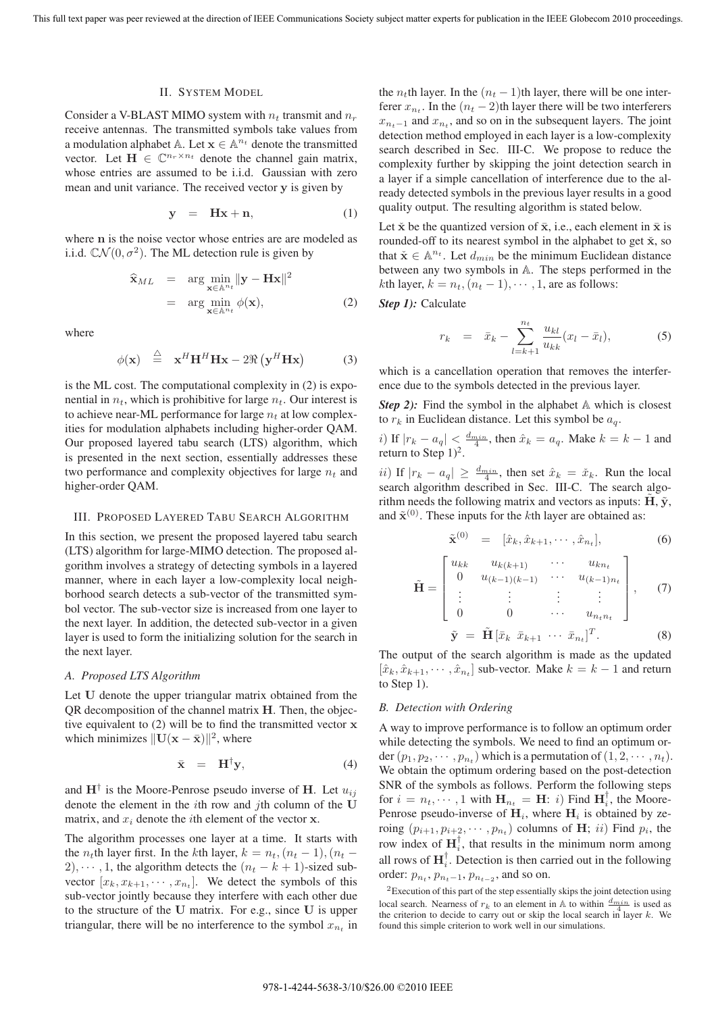#### II. SYSTEM MODEL

Consider a V-BLAST MIMO system with  $n_t$  transmit and  $n_r$ receive antennas. The transmitted symbols take values from a modulation alphabet A. Let  $\mathbf{x} \in \mathbb{A}^{n_t}$  denote the transmitted vector. Let  $\mathbf{H} \in \mathbb{C}^{n_r \times n_t}$  denote the channel gain matrix, whose entries are assumed to be i.i.d. Gaussian with zero mean and unit variance. The received vector **y** is given by

$$
y = Hx + n,\t(1)
$$

where **n** is the noise vector whose entries are are modeled as i.i.d.  $\mathbb{C}\mathcal{N}(0, \sigma^2)$ . The ML detection rule is given by

$$
\widehat{\mathbf{x}}_{ML} = \arg \min_{\mathbf{x} \in \mathbb{A}^{n_t}} ||\mathbf{y} - \mathbf{H}\mathbf{x}||^2
$$
  
= 
$$
\arg \min_{\mathbf{x} \in \mathbb{A}^{n_t}} \phi(\mathbf{x}),
$$
 (2)

where

$$
\phi(\mathbf{x}) \stackrel{\triangle}{=} \mathbf{x}^H \mathbf{H}^H \mathbf{H} \mathbf{x} - 2 \Re \left( \mathbf{y}^H \mathbf{H} \mathbf{x} \right) \tag{3}
$$

is the ML cost. The computational complexity in (2) is exponential in  $n_t$ , which is prohibitive for large  $n_t$ . Our interest is to achieve near-ML performance for large n*<sup>t</sup>* at low complexities for modulation alphabets including higher-order QAM. Our proposed layered tabu search (LTS) algorithm, which is presented in the next section, essentially addresses these two performance and complexity objectives for large n*<sup>t</sup>* and higher-order QAM.

#### III. PROPOSED LAYERED TABU SEARCH ALGORITHM

In this section, we present the proposed layered tabu search (LTS) algorithm for large-MIMO detection. The proposed algorithm involves a strategy of detecting symbols in a layered manner, where in each layer a low-complexity local neighborhood search detects a sub-vector of the transmitted symbol vector. The sub-vector size is increased from one layer to the next layer. In addition, the detected sub-vector in a given layer is used to form the initializing solution for the search in the next layer.

#### *A. Proposed LTS Algorithm*

Let **U** denote the upper triangular matrix obtained from the QR decomposition of the channel matrix **H**. Then, the objective equivalent to (2) will be to find the transmitted vector **x** which minimizes  $||\mathbf{U}(\mathbf{x} - \bar{\mathbf{x}})||^2$ , where

$$
\bar{\mathbf{x}} = \mathbf{H}^{\dagger} \mathbf{y}, \tag{4}
$$

and  $\mathbf{H}^{\dagger}$  is the Moore-Penrose pseudo inverse of **H**. Let  $u_{ij}$ denote the element in the ith row and jth column of the **U** matrix, and  $x_i$  denote the *i*th element of the vector **x**.

The algorithm processes one layer at a time. It starts with the  $n_t$ <sup>th</sup> layer first. In the k<sup>th</sup> layer,  $k = n_t, (n_t - 1), (n_t -$ 2),  $\cdots$ , 1, the algorithm detects the  $(n_t - k + 1)$ -sized subvector  $[x_k, x_{k+1}, \dots, x_{n_t}]$ . We detect the symbols of this sub-vector jointly because they interfere with each other due to the structure of the **U** matrix. For e.g., since **U** is upper triangular, there will be no interference to the symbol  $x_{n_t}$  in the  $n_t$ <sup>th</sup> layer. In the  $(n_t - 1)$ <sup>th</sup> layer, there will be one interferer  $x_{n_t}$ . In the  $(n_t - 2)$ th layer there will be two interferers  $x_{n_t-1}$  and  $x_{n_t}$ , and so on in the subsequent layers. The joint detection method employed in each layer is a low-complexity search described in Sec. III-C. We propose to reduce the complexity further by skipping the joint detection search in a layer if a simple cancellation of interference due to the already detected symbols in the previous layer results in a good quality output. The resulting algorithm is stated below.

Let  $\check{x}$  be the quantized version of  $\bar{x}$ , i.e., each element in  $\bar{x}$  is rounded-off to its nearest symbol in the alphabet to get  $\dot{x}$ , so that  $\check{\mathbf{x}} \in \mathbb{A}^{n_t}$ . Let  $d_{min}$  be the minimum Euclidean distance between any two symbols in A. The steps performed in the kth layer,  $k = n_t$ ,  $(n_t - 1)$ ,  $\dots$ , 1, are as follows:

*Step 1):* Calculate

$$
r_k = \bar{x}_k - \sum_{l=k+1}^{n_t} \frac{u_{kl}}{u_{kk}} (x_l - \bar{x}_l),
$$
 (5)

which is a cancellation operation that removes the interference due to the symbols detected in the previous layer.

*Step 2):* Find the symbol in the alphabet A which is closest to  $r_k$  in Euclidean distance. Let this symbol be  $a_q$ .

i) If  $|r_k - a_q| < \frac{d_{min}}{4}$ , then  $\hat{x}_k = a_q$ . Make  $k = k - 1$  and return to Step  $1)^2$ return to Step  $1)^2$ .

ii) If  $|r_k - a_q| \geq \frac{d_{min}}{4}$ , then set  $\hat{x}_k = \check{x}_k$ . Run the local search algosearch algorithm described in Sec. III-C. The search algorithm needs the following matrix and vectors as inputs:  $\hat{H}$ ,  $\tilde{y}$ , and  $\tilde{\mathbf{x}}^{(0)}$ . These inputs for the *k*th layer are obtained as:<br> $\tilde{\mathbf{x}}^{(0)} = [\hat{x}_k, \hat{x}_{k+1}, \dots, \hat{x}_{n}]$ 

$$
\tilde{\mathbf{x}}^{(0)} = [\hat{x}_k, \hat{x}_{k+1}, \cdots, \hat{x}_{n_t}], \tag{6}
$$

$$
\tilde{\mathbf{H}} = \begin{bmatrix}\nu_{kk} & u_{k(k+1)} & \cdots & u_{kn_t} \\
0 & u_{(k-1)(k-1)} & \cdots & u_{(k-1)n_t} \\
\vdots & \vdots & \vdots & \vdots \\
0 & 0 & \cdots & u_{n_t n_t}\n\end{bmatrix}, \quad (7)
$$
\n
$$
\tilde{\mathbf{y}} = \tilde{\mathbf{H}} \begin{bmatrix} \bar{x}_k & \bar{x}_{k+1} & \cdots & \bar{x}_{n_t} \end{bmatrix}^T.
$$

The output of the search algorithm is made as the updated  $[\hat{x}_k, \hat{x}_{k+1}, \dots, \hat{x}_{n_t}]$  sub-vector. Make  $k = k - 1$  and return to Step 1).

#### *B. Detection with Ordering*

A way to improve performance is to follow an optimum order while detecting the symbols. We need to find an optimum order  $(p_1, p_2, \dots, p_{n_t})$  which is a permutation of  $(1, 2, \dots, n_t)$ . We obtain the optimum ordering based on the post-detection SNR of the symbols as follows. Perform the following steps for  $i = n_t, \dots, 1$  with  $\mathbf{H}_{n_t} = \mathbf{H}$ : *i*) Find  $\mathbf{H}_{i}^{\dagger}$ , the Moore-<br>Penrose pseudo-inverse of  $\mathbf{H}_{i}$ , where  $\mathbf{H}_{i}$  is obtained by ze-Penrose pseudo-inverse of  $H_i$ , where  $H_i$  is obtained by zeroing  $(p_{i+1}, p_{i+2}, \dots, p_{n_t})$  columns of **H**; *ii*) Find  $p_i$ , the row index of  $\mathbf{H}_{i}^{\text{T}}$ , that results in the minimum norm among all rows of  $\mathbf{H}_{i}^{\mathsf{T}}$ . Detection is then carried out in the following order:  $p_{n_t}, p_{n_t-1}, p_{n_{t-2}}$ , and so on.

 ${}^{2}$ Execution of this part of the step essentially skips the joint detection using local search. Nearness of  $r_k$  to an element in A to within  $\frac{d_{min}}{4}$  is used as the criterion to decide to carry out or skip the local search in layer  $k$ . We found this simple criterion to work well in our simulations.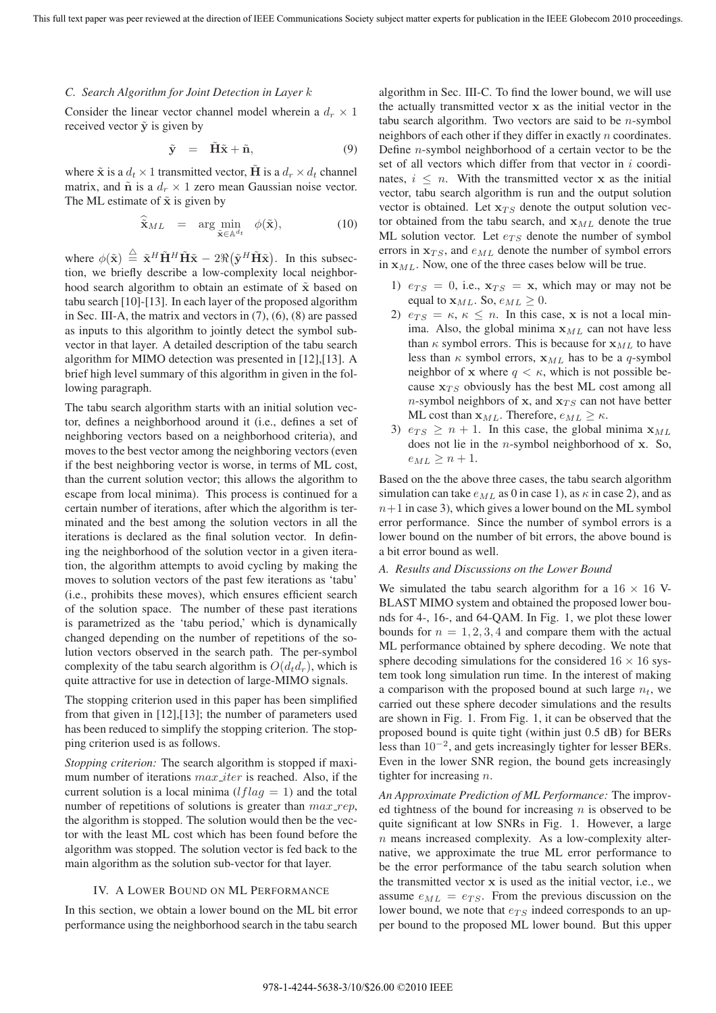## *C. Search Algorithm for Joint Detection in Layer* k

Consider the linear vector channel model wherein a  $d_r \times 1$ received vector  $\tilde{y}$  is given by

$$
\tilde{\mathbf{y}} = \tilde{\mathbf{H}} \tilde{\mathbf{x}} + \tilde{\mathbf{n}}, \tag{9}
$$

where  $\tilde{\mathbf{x}}$  is a  $d_t \times 1$  transmitted vector,  $\tilde{\mathbf{H}}$  is a  $d_r \times d_t$  channel matrix, and  $\tilde{\mathbf{n}}$  is a  $d_r \times 1$  zero mean Gaussian noise vector. The ML estimate of  $\tilde{x}$  is given by

$$
\widehat{\widetilde{\mathbf{x}}}_{ML} = \arg \min_{\widetilde{\mathbf{x}} \in \mathbb{A}^{d_t}} \phi(\widetilde{\mathbf{x}}), \tag{10}
$$

where  $\phi(\tilde{\mathbf{x}}) \triangleq \tilde{\mathbf{x}}^H \tilde{\mathbf{H}}^H \tilde{\mathbf{H}} \tilde{\mathbf{x}} - 2 \Re(\tilde{\mathbf{y}}^H \tilde{\mathbf{H}} \tilde{\mathbf{x}})$ . In this subsection we briefly describe a low-complexity local neighbortion, we briefly describe a low-complexity local neighborhood search algorithm to obtain an estimate of  $\tilde{x}$  based on tabu search [10]-[13]. In each layer of the proposed algorithm in Sec. III-A, the matrix and vectors in (7), (6), (8) are passed as inputs to this algorithm to jointly detect the symbol subvector in that layer. A detailed description of the tabu search algorithm for MIMO detection was presented in [12],[13]. A brief high level summary of this algorithm in given in the following paragraph.

The tabu search algorithm starts with an initial solution vector, defines a neighborhood around it (i.e., defines a set of neighboring vectors based on a neighborhood criteria), and moves to the best vector among the neighboring vectors (even if the best neighboring vector is worse, in terms of ML cost, than the current solution vector; this allows the algorithm to escape from local minima). This process is continued for a certain number of iterations, after which the algorithm is terminated and the best among the solution vectors in all the iterations is declared as the final solution vector. In defining the neighborhood of the solution vector in a given iteration, the algorithm attempts to avoid cycling by making the moves to solution vectors of the past few iterations as 'tabu' (i.e., prohibits these moves), which ensures efficient search of the solution space. The number of these past iterations is parametrized as the 'tabu period,' which is dynamically changed depending on the number of repetitions of the solution vectors observed in the search path. The per-symbol complexity of the tabu search algorithm is  $O(d_t d_r)$ , which is quite attractive for use in detection of large-MIMO signals.

The stopping criterion used in this paper has been simplified from that given in [12],[13]; the number of parameters used has been reduced to simplify the stopping criterion. The stopping criterion used is as follows.

*Stopping criterion:* The search algorithm is stopped if maximum number of iterations  $max\_iter$  is reached. Also, if the current solution is a local minima  $(lflag = 1)$  and the total number of repetitions of solutions is greater than  $max_{x}$ the algorithm is stopped. The solution would then be the vector with the least ML cost which has been found before the algorithm was stopped. The solution vector is fed back to the main algorithm as the solution sub-vector for that layer.

## IV. A LOWER BOUND ON ML PERFORMANCE

In this section, we obtain a lower bound on the ML bit error performance using the neighborhood search in the tabu search algorithm in Sec. III-C. To find the lower bound, we will use the actually transmitted vector **x** as the initial vector in the tabu search algorithm. Two vectors are said to be  $n$ -symbol neighbors of each other if they differ in exactly n coordinates. Define n-symbol neighborhood of a certain vector to be the set of all vectors which differ from that vector in  $i$  coordinates,  $i \leq n$ . With the transmitted vector **x** as the initial vector, tabu search algorithm is run and the output solution vector is obtained. Let  $\mathbf{x}_{TS}$  denote the output solution vector obtained from the tabu search, and  $\mathbf{x}_{ML}$  denote the true ML solution vector. Let  $e_{TS}$  denote the number of symbol errors in **x***T S*, and e*ML* denote the number of symbol errors in **x***ML*. Now, one of the three cases below will be true.

- 1)  $e_{TS} = 0$ , i.e.,  $\mathbf{x}_{TS} = \mathbf{x}$ , which may or may not be equal to  $\mathbf{x}_{ML}$ . So,  $e_{ML} \geq 0$ .
- 2)  $e_{TS} = \kappa$ ,  $\kappa \leq n$ . In this case, **x** is not a local minima. Also, the global minima **x***ML* can not have less than  $\kappa$  symbol errors. This is because for  $\mathbf{x}_{ML}$  to have less than  $\kappa$  symbol errors,  $\mathbf{x}_{ML}$  has to be a q-symbol neighbor of **x** where  $q < \kappa$ , which is not possible because **x***T S* obviously has the best ML cost among all *n*-symbol neighbors of **x**, and  $\mathbf{x}_{TS}$  can not have better ML cost than  $\mathbf{x}_{ML}$ . Therefore,  $e_{ML} \geq \kappa$ .
- 3)  $e_{TS} \ge n + 1$ . In this case, the global minima  $\mathbf{x}_{ML}$ does not lie in the n-symbol neighborhood of **x**. So,  $e_{ML} \geq n+1$ .

Based on the the above three cases, the tabu search algorithm simulation can take  $e_{ML}$  as 0 in case 1), as  $\kappa$  in case 2), and as  $n+1$  in case 3), which gives a lower bound on the ML symbol error performance. Since the number of symbol errors is a lower bound on the number of bit errors, the above bound is a bit error bound as well.

#### *A. Results and Discussions on the Lower Bound*

We simulated the tabu search algorithm for a  $16 \times 16$  V-BLAST MIMO system and obtained the proposed lower bounds for 4-, 16-, and 64-QAM. In Fig. 1, we plot these lower bounds for  $n = 1, 2, 3, 4$  and compare them with the actual ML performance obtained by sphere decoding. We note that sphere decoding simulations for the considered  $16 \times 16$  system took long simulation run time. In the interest of making a comparison with the proposed bound at such large  $n_t$ , we carried out these sphere decoder simulations and the results are shown in Fig. 1. From Fig. 1, it can be observed that the proposed bound is quite tight (within just 0.5 dB) for BERs less than  $10^{-2}$ , and gets increasingly tighter for lesser BERs. Even in the lower SNR region, the bound gets increasingly tighter for increasing  $n$ .

*An Approximate Prediction of ML Performance:* The improved tightness of the bound for increasing  $n$  is observed to be quite significant at low SNRs in Fig. 1. However, a large n means increased complexity. As a low-complexity alternative, we approximate the true ML error performance to be the error performance of the tabu search solution when the transmitted vector **x** is used as the initial vector, i.e., we assume  $e_{ML} = e_{TS}$ . From the previous discussion on the lower bound, we note that  $e_{TS}$  indeed corresponds to an upper bound to the proposed ML lower bound. But this upper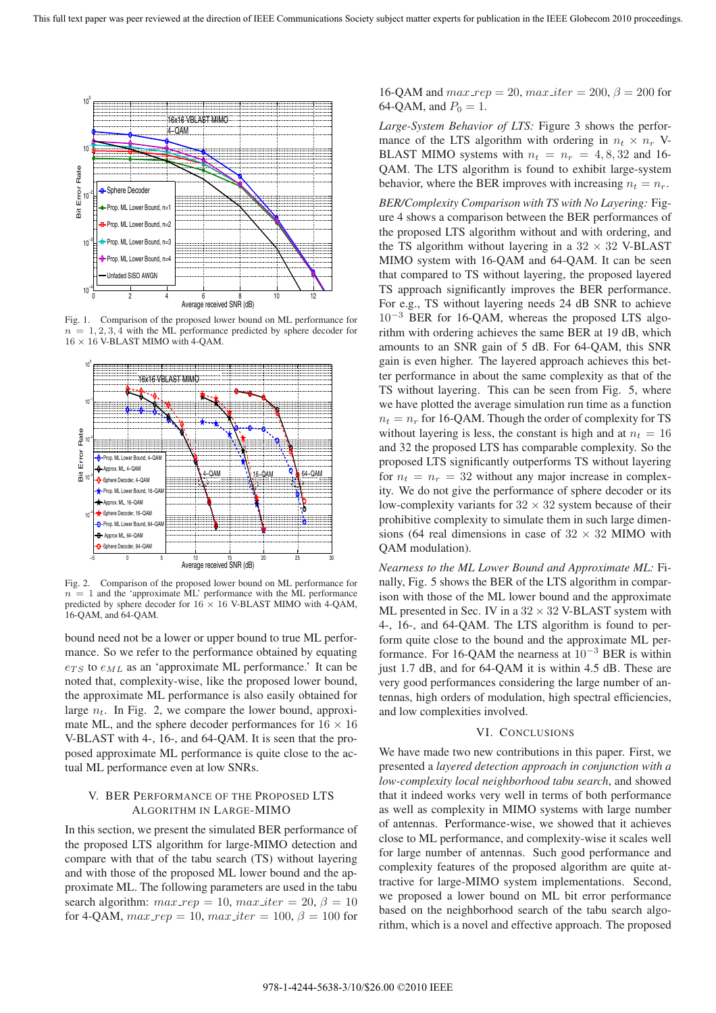

Fig. 1. Comparison of the proposed lower bound on ML performance for  $n = 1, 2, 3, 4$  with the ML performance predicted by sphere decoder for 16 *×* 16 V-BLAST MIMO with 4-QAM.



Fig. 2. Comparison of the proposed lower bound on ML performance for  $n = 1$  and the 'approximate ML' performance with the ML performance predicted by sphere decoder for  $16 \times 16$  V-BLAST MIMO with 4-QAM, 16-QAM, and 64-QAM.

bound need not be a lower or upper bound to true ML performance. So we refer to the performance obtained by equating  $e_{TS}$  to  $e_{ML}$  as an 'approximate ML performance.' It can be noted that, complexity-wise, like the proposed lower bound, the approximate ML performance is also easily obtained for large  $n_t$ . In Fig. 2, we compare the lower bound, approximate ML, and the sphere decoder performances for  $16 \times 16$ V-BLAST with 4-, 16-, and 64-QAM. It is seen that the proposed approximate ML performance is quite close to the actual ML performance even at low SNRs.

## V. BER PERFORMANCE OF THE PROPOSED LTS ALGORITHM IN LARGE-MIMO

In this section, we present the simulated BER performance of the proposed LTS algorithm for large-MIMO detection and compare with that of the tabu search (TS) without layering and with those of the proposed ML lower bound and the approximate ML. The following parameters are used in the tabu search algorithm:  $max\_rep = 10$ ,  $max\_iter = 20$ ,  $\beta = 10$ for 4-QAM,  $max\_rep = 10$ ,  $max\_iter = 100$ ,  $\beta = 100$  for

16-QAM and  $max\_rep = 20$ ,  $max\_iter = 200$ ,  $\beta = 200$  for 64-QAM, and  $P_0 = 1$ .

*Large-System Behavior of LTS:* Figure 3 shows the performance of the LTS algorithm with ordering in  $n_t \times n_r$  V-BLAST MIMO systems with  $n_t = n_r = 4, 8, 32$  and 16-QAM. The LTS algorithm is found to exhibit large-system behavior, where the BER improves with increasing  $n_t = n_r$ .

*BER/Complexity Comparison with TS with No Layering:* Figure 4 shows a comparison between the BER performances of the proposed LTS algorithm without and with ordering, and the TS algorithm without layering in a  $32 \times 32$  V-BLAST MIMO system with 16-QAM and 64-QAM. It can be seen that compared to TS without layering, the proposed layered TS approach significantly improves the BER performance. For e.g., TS without layering needs 24 dB SNR to achieve  $10^{-3}$  BER for 16-QAM, whereas the proposed LTS algorithm with ordering achieves the same BER at 19 dB, which amounts to an SNR gain of 5 dB. For 64-QAM, this SNR gain is even higher. The layered approach achieves this better performance in about the same complexity as that of the TS without layering. This can be seen from Fig. 5, where we have plotted the average simulation run time as a function  $n_t = n_r$  for 16-QAM. Though the order of complexity for TS without layering is less, the constant is high and at  $n_t = 16$ and 32 the proposed LTS has comparable complexity. So the proposed LTS significantly outperforms TS without layering for  $n_t = n_r = 32$  without any major increase in complexity. We do not give the performance of sphere decoder or its low-complexity variants for  $32 \times 32$  system because of their prohibitive complexity to simulate them in such large dimensions (64 real dimensions in case of  $32 \times 32$  MIMO with QAM modulation).

*Nearness to the ML Lower Bound and Approximate ML:* Finally, Fig. 5 shows the BER of the LTS algorithm in comparison with those of the ML lower bound and the approximate ML presented in Sec. IV in a  $32 \times 32$  V-BLAST system with 4-, 16-, and 64-QAM. The LTS algorithm is found to perform quite close to the bound and the approximate ML performance. For 16-QAM the nearness at  $10^{-3}$  BER is within just 1.7 dB, and for 64-QAM it is within 4.5 dB. These are very good performances considering the large number of antennas, high orders of modulation, high spectral efficiencies, and low complexities involved.

## VI. CONCLUSIONS

We have made two new contributions in this paper. First, we presented a *layered detection approach in conjunction with a low-complexity local neighborhood tabu search*, and showed that it indeed works very well in terms of both performance as well as complexity in MIMO systems with large number of antennas. Performance-wise, we showed that it achieves close to ML performance, and complexity-wise it scales well for large number of antennas. Such good performance and complexity features of the proposed algorithm are quite attractive for large-MIMO system implementations. Second, we proposed a lower bound on ML bit error performance based on the neighborhood search of the tabu search algorithm, which is a novel and effective approach. The proposed